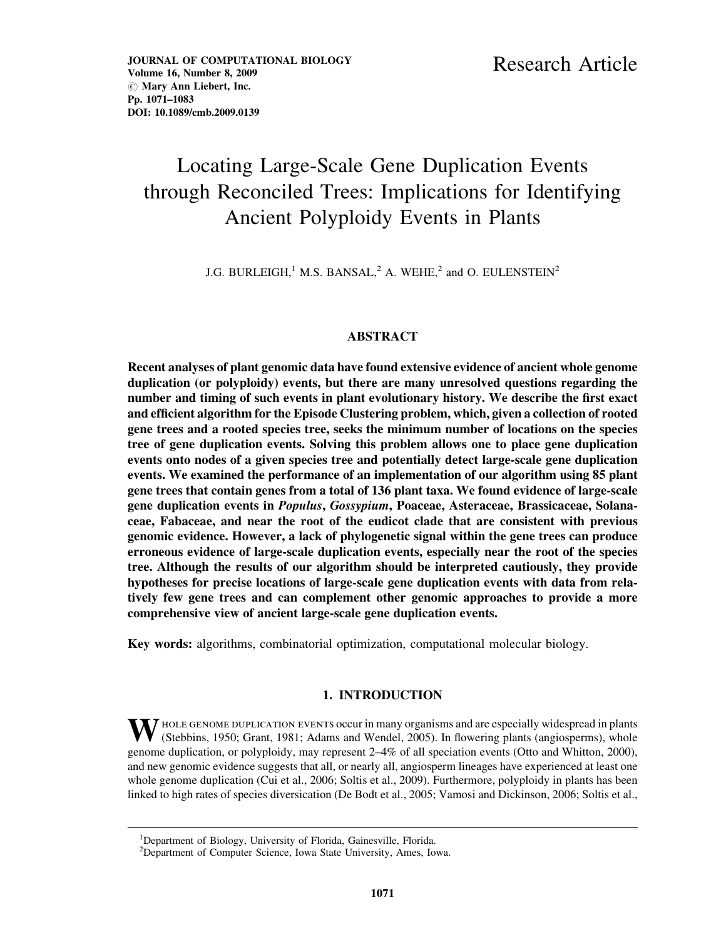# Locating Large-Scale Gene Duplication Events through Reconciled Trees: Implications for Identifying Ancient Polyploidy Events in Plants

J.G. BURLEIGH,<sup>1</sup> M.S. BANSAL,<sup>2</sup> A. WEHE,<sup>2</sup> and O. EULENSTEIN<sup>2</sup>

## ABSTRACT

Recent analyses of plant genomic data have found extensive evidence of ancient whole genome duplication (or polyploidy) events, but there are many unresolved questions regarding the number and timing of such events in plant evolutionary history. We describe the first exact and efficient algorithm for the Episode Clustering problem, which, given a collection of rooted gene trees and a rooted species tree, seeks the minimum number of locations on the species tree of gene duplication events. Solving this problem allows one to place gene duplication events onto nodes of a given species tree and potentially detect large-scale gene duplication events. We examined the performance of an implementation of our algorithm using 85 plant gene trees that contain genes from a total of 136 plant taxa. We found evidence of large-scale gene duplication events in Populus, Gossypium, Poaceae, Asteraceae, Brassicaceae, Solanaceae, Fabaceae, and near the root of the eudicot clade that are consistent with previous genomic evidence. However, a lack of phylogenetic signal within the gene trees can produce erroneous evidence of large-scale duplication events, especially near the root of the species tree. Although the results of our algorithm should be interpreted cautiously, they provide hypotheses for precise locations of large-scale gene duplication events with data from relatively few gene trees and can complement other genomic approaches to provide a more comprehensive view of ancient large-scale gene duplication events.

Key words: algorithms, combinatorial optimization, computational molecular biology.

## 1. INTRODUCTION

 $\bm{V}$  HOLE GENOME DUPLICATION EVENTS occur in many organisms and are especially widespread in plants (Stebbins, 1950; Grant, 1981; Adams and Wendel, 2005). In flowering plants (angiosperms), whole genome duplication, or polyploidy, may represent 2–4% of all speciation events (Otto and Whitton, 2000), and new genomic evidence suggests that all, or nearly all, angiosperm lineages have experienced at least one whole genome duplication (Cui et al., 2006; Soltis et al., 2009). Furthermore, polyploidy in plants has been linked to high rates of species diversication (De Bodt et al., 2005; Vamosi and Dickinson, 2006; Soltis et al.,

<sup>&</sup>lt;sup>1</sup>Department of Biology, University of Florida, Gainesville, Florida.

<sup>&</sup>lt;sup>2</sup>Department of Computer Science, Iowa State University, Ames, Iowa.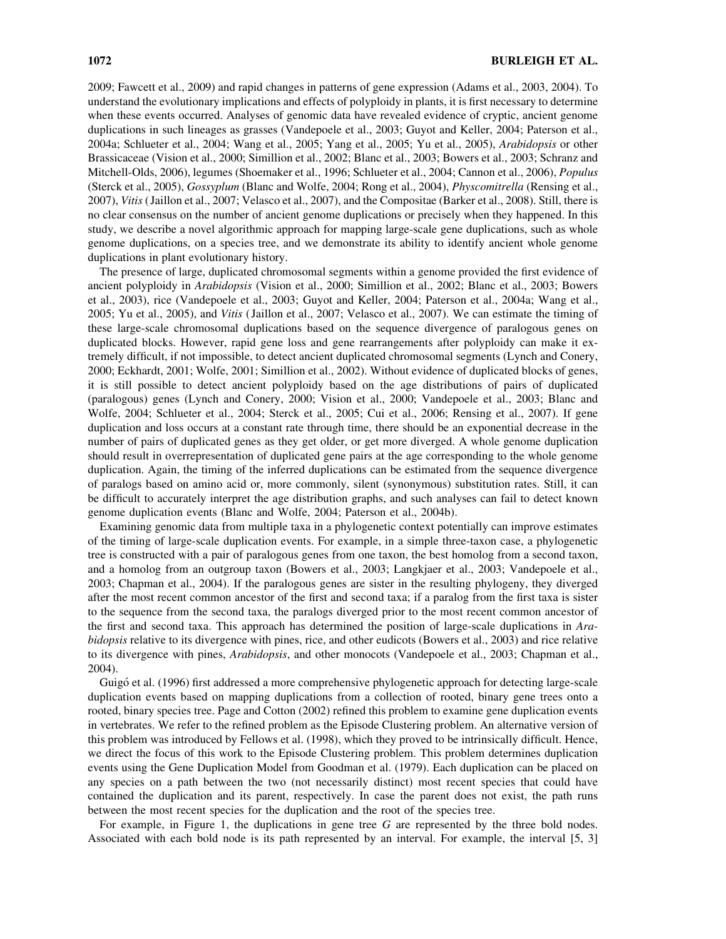2009; Fawcett et al., 2009) and rapid changes in patterns of gene expression (Adams et al., 2003, 2004). To understand the evolutionary implications and effects of polyploidy in plants, it is first necessary to determine when these events occurred. Analyses of genomic data have revealed evidence of cryptic, ancient genome duplications in such lineages as grasses (Vandepoele et al., 2003; Guyot and Keller, 2004; Paterson et al., 2004a; Schlueter et al., 2004; Wang et al., 2005; Yang et al., 2005; Yu et al., 2005), Arabidopsis or other Brassicaceae (Vision et al., 2000; Simillion et al., 2002; Blanc et al., 2003; Bowers et al., 2003; Schranz and Mitchell-Olds, 2006), legumes (Shoemaker et al., 1996; Schlueter et al., 2004; Cannon et al., 2006), Populus (Sterck et al., 2005), Gossyplum (Blanc and Wolfe, 2004; Rong et al., 2004), Physcomitrella (Rensing et al., 2007), Vitis ( Jaillon et al., 2007; Velasco et al., 2007), and the Compositae (Barker et al., 2008). Still, there is no clear consensus on the number of ancient genome duplications or precisely when they happened. In this study, we describe a novel algorithmic approach for mapping large-scale gene duplications, such as whole genome duplications, on a species tree, and we demonstrate its ability to identify ancient whole genome duplications in plant evolutionary history.

The presence of large, duplicated chromosomal segments within a genome provided the first evidence of ancient polyploidy in Arabidopsis (Vision et al., 2000; Simillion et al., 2002; Blanc et al., 2003; Bowers et al., 2003), rice (Vandepoele et al., 2003; Guyot and Keller, 2004; Paterson et al., 2004a; Wang et al., 2005; Yu et al., 2005), and Vitis ( Jaillon et al., 2007; Velasco et al., 2007). We can estimate the timing of these large-scale chromosomal duplications based on the sequence divergence of paralogous genes on duplicated blocks. However, rapid gene loss and gene rearrangements after polyploidy can make it extremely difficult, if not impossible, to detect ancient duplicated chromosomal segments (Lynch and Conery, 2000; Eckhardt, 2001; Wolfe, 2001; Simillion et al., 2002). Without evidence of duplicated blocks of genes, it is still possible to detect ancient polyploidy based on the age distributions of pairs of duplicated (paralogous) genes (Lynch and Conery, 2000; Vision et al., 2000; Vandepoele et al., 2003; Blanc and Wolfe, 2004; Schlueter et al., 2004; Sterck et al., 2005; Cui et al., 2006; Rensing et al., 2007). If gene duplication and loss occurs at a constant rate through time, there should be an exponential decrease in the number of pairs of duplicated genes as they get older, or get more diverged. A whole genome duplication should result in overrepresentation of duplicated gene pairs at the age corresponding to the whole genome duplication. Again, the timing of the inferred duplications can be estimated from the sequence divergence of paralogs based on amino acid or, more commonly, silent (synonymous) substitution rates. Still, it can be difficult to accurately interpret the age distribution graphs, and such analyses can fail to detect known genome duplication events (Blanc and Wolfe, 2004; Paterson et al., 2004b).

Examining genomic data from multiple taxa in a phylogenetic context potentially can improve estimates of the timing of large-scale duplication events. For example, in a simple three-taxon case, a phylogenetic tree is constructed with a pair of paralogous genes from one taxon, the best homolog from a second taxon, and a homolog from an outgroup taxon (Bowers et al., 2003; Langkjaer et al., 2003; Vandepoele et al., 2003; Chapman et al., 2004). If the paralogous genes are sister in the resulting phylogeny, they diverged after the most recent common ancestor of the first and second taxa; if a paralog from the first taxa is sister to the sequence from the second taxa, the paralogs diverged prior to the most recent common ancestor of the first and second taxa. This approach has determined the position of large-scale duplications in Arabidopsis relative to its divergence with pines, rice, and other eudicots (Bowers et al., 2003) and rice relative to its divergence with pines, Arabidopsis, and other monocots (Vandepoele et al., 2003; Chapman et al., 2004).

Guigó et al. (1996) first addressed a more comprehensive phylogenetic approach for detecting large-scale duplication events based on mapping duplications from a collection of rooted, binary gene trees onto a rooted, binary species tree. Page and Cotton (2002) refined this problem to examine gene duplication events in vertebrates. We refer to the refined problem as the Episode Clustering problem. An alternative version of this problem was introduced by Fellows et al. (1998), which they proved to be intrinsically difficult. Hence, we direct the focus of this work to the Episode Clustering problem. This problem determines duplication events using the Gene Duplication Model from Goodman et al. (1979). Each duplication can be placed on any species on a path between the two (not necessarily distinct) most recent species that could have contained the duplication and its parent, respectively. In case the parent does not exist, the path runs between the most recent species for the duplication and the root of the species tree.

For example, in Figure 1, the duplications in gene tree  $G$  are represented by the three bold nodes. Associated with each bold node is its path represented by an interval. For example, the interval [5, 3]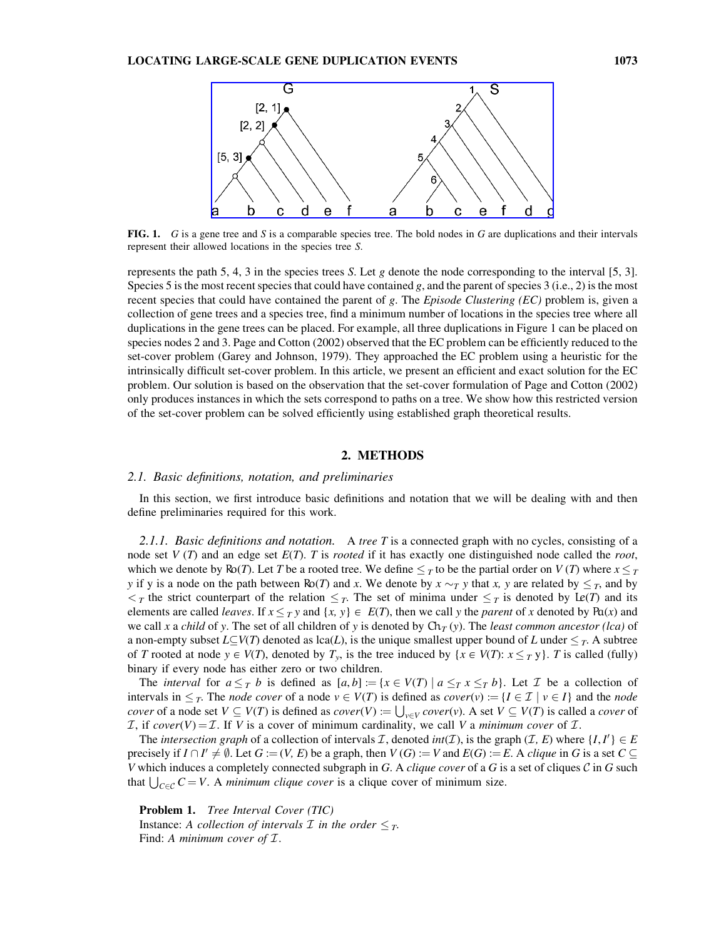

FIG. 1. G is a gene tree and S is a comparable species tree. The bold nodes in G are duplications and their intervals represent their allowed locations in the species tree S.

represents the path 5, 4, 3 in the species trees S. Let g denote the node corresponding to the interval [5, 3]. Species 5 is the most recent species that could have contained  $g$ , and the parent of species 3 (i.e., 2) is the most recent species that could have contained the parent of  $g$ . The *Episode Clustering (EC)* problem is, given a collection of gene trees and a species tree, find a minimum number of locations in the species tree where all duplications in the gene trees can be placed. For example, all three duplications in Figure 1 can be placed on species nodes 2 and 3. Page and Cotton (2002) observed that the EC problem can be efficiently reduced to the set-cover problem (Garey and Johnson, 1979). They approached the EC problem using a heuristic for the intrinsically difficult set-cover problem. In this article, we present an efficient and exact solution for the EC problem. Our solution is based on the observation that the set-cover formulation of Page and Cotton (2002) only produces instances in which the sets correspond to paths on a tree. We show how this restricted version of the set-cover problem can be solved efficiently using established graph theoretical results.

## 2. METHODS

#### 2.1. Basic definitions, notation, and preliminaries

In this section, we first introduce basic definitions and notation that we will be dealing with and then define preliminaries required for this work.

2.1.1. Basic definitions and notation. A tree T is a connected graph with no cycles, consisting of a node set  $V(T)$  and an edge set  $E(T)$ . T is *rooted* if it has exactly one distinguished node called the *root*, which we denote by Ro(T). Let T be a rooted tree. We define  $\leq_T$  to be the partial order on  $V(T)$  where  $x \leq_T$ y if y is a node on the path between Ro(T) and x. We denote by  $x \sim_T y$  that x, y are related by  $\leq_T$ , and by  $\lt_T$  the strict counterpart of the relation  $\leq_T$ . The set of minima under  $\leq_T$  is denoted by Le(T) and its elements are called *leaves*. If  $x \leq_T y$  and  $\{x, y\} \in E(T)$ , then we call y the *parent* of x denoted by Pa(x) and we call x a child of y. The set of all children of y is denoted by  $Ch_T(y)$ . The least common ancestor (lca) of a non-empty subset  $L\subseteq V(T)$  denoted as lca(L), is the unique smallest upper bound of L under  $\leq_T$ . A subtree of T rooted at node  $y \in V(T)$ , denoted by  $T_y$ , is the tree induced by  $\{x \in V(T): x \leq_T y\}$ . T is called (fully) binary if every node has either zero or two children.

The *interval* for  $a \leq_T b$  is defined as  $[a, b] := \{x \in V(T) \mid a \leq_T x \leq_T b\}$ . Let T be a collection of intervals in  $\leq_T$ . The *node cover* of a node  $v \in V(T)$  is defined as *cover*(v) := { $I \in \mathcal{I} \mid v \in I$ } and the *node* cover of a node set  $V \subseteq V(T)$  is defined as  $cover(V) := \bigcup_{v \in V} cover(v)$ . A set  $V \subseteq V(T)$  is called a cover of I, if cover(V) = I. If V is a cover of minimum cardinality, we call V a minimum cover of I.

The intersection graph of a collection of intervals *I*, denoted int(*I*), is the graph (*I*, *E*) where  $\{I, I'\} \in E$ precisely if  $I \cap I' \neq \emptyset$ . Let  $G := (V, E)$  be a graph, then  $V(G) := V$  and  $E(G) := E$ . A clique in G is a set  $C \subseteq$ V which induces a completely connected subgraph in G. A *clique cover* of a G is a set of cliques  $C$  in G such that  $\bigcup_{C \in \mathcal{C}} C = V$ . A *minimum clique cover* is a clique cover of minimum size.

Problem 1. Tree Interval Cover (TIC) Instance: A collection of intervals  $\mathcal I$  in the order  $\leq_T$ . Find: A minimum cover of  $I$ .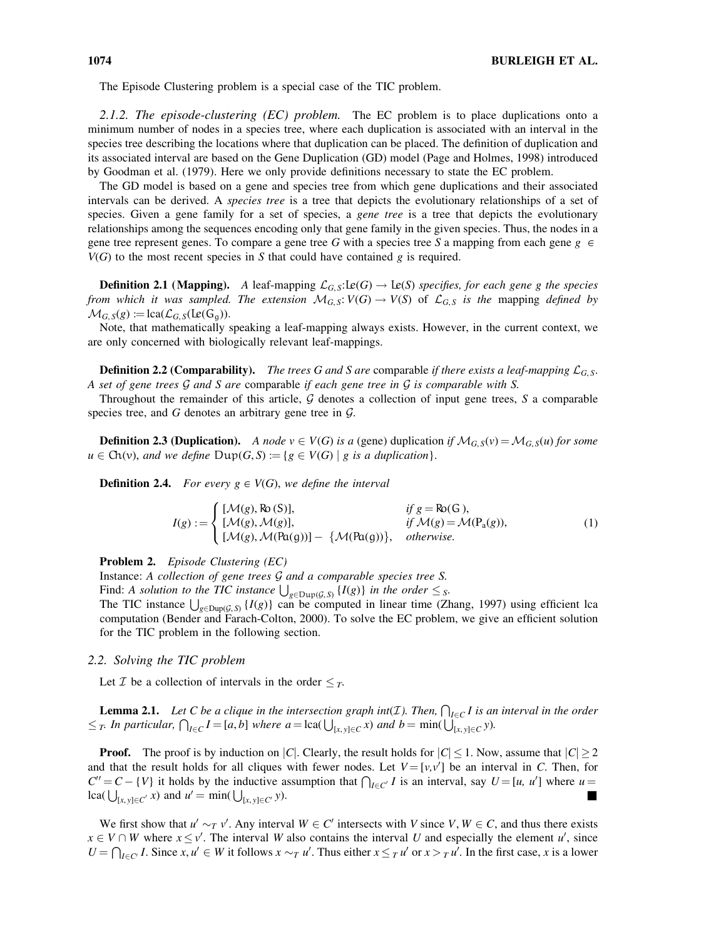The Episode Clustering problem is a special case of the TIC problem.

2.1.2. The episode-clustering  $(EC)$  problem. The EC problem is to place duplications onto a minimum number of nodes in a species tree, where each duplication is associated with an interval in the species tree describing the locations where that duplication can be placed. The definition of duplication and its associated interval are based on the Gene Duplication (GD) model (Page and Holmes, 1998) introduced by Goodman et al. (1979). Here we only provide definitions necessary to state the EC problem.

The GD model is based on a gene and species tree from which gene duplications and their associated intervals can be derived. A *species tree* is a tree that depicts the evolutionary relationships of a set of species. Given a gene family for a set of species, a *gene tree* is a tree that depicts the evolutionary relationships among the sequences encoding only that gene family in the given species. Thus, the nodes in a gene tree represent genes. To compare a gene tree G with a species tree S a mapping from each gene  $g \in$  $V(G)$  to the most recent species in S that could have contained g is required.

**Definition 2.1 (Mapping).** A leaf-mapping  $\mathcal{L}_{G,S}:\mathbf{Le}(G) \to \mathbf{Le}(S)$  specifies, for each gene g the species from which it was sampled. The extension  $\mathcal{M}_{G, S}: V(G) \to V(S)$  of  $\mathcal{L}_{G, S}$  is the mapping defined by  $\mathcal{M}_{G, S}(g) := \text{lca}(\mathcal{L}_{G, S}(\text{Le}(G_{g}))).$ 

Note, that mathematically speaking a leaf-mapping always exists. However, in the current context, we are only concerned with biologically relevant leaf-mappings.

**Definition 2.2 (Comparability).** The trees G and S are comparable if there exists a leaf-mapping  $\mathcal{L}_{G, S}$ . A set of gene trees  $\mathcal G$  and  $S$  are comparable if each gene tree in  $\mathcal G$  is comparable with  $S$ .

Throughout the remainder of this article,  $G$  denotes a collection of input gene trees,  $S$  a comparable species tree, and G denotes an arbitrary gene tree in  $\mathcal{G}$ .

**Definition 2.3 (Duplication).** A node  $v \in V(G)$  is a (gene) duplication if  $\mathcal{M}_{G,S}(v) = \mathcal{M}_{G,S}(u)$  for some  $u \in Ch(v)$ , and we define  $Dup(G, S) := \{g \in V(G) \mid g \text{ is a duplication}\}.$ 

**Definition 2.4.** For every  $g \in V(G)$ , we define the interval

$$
I(g) := \begin{cases} [\mathcal{M}(g), \text{Ro}(S)], & \text{if } g = \text{Ro}(G), \\ [\mathcal{M}(g), \mathcal{M}(g)], & \text{if } \mathcal{M}(g) = \mathcal{M}(\text{Pa}(g)), \\ [\mathcal{M}(g), \mathcal{M}(\text{Pa}(g))] - \{\mathcal{M}(\text{Pa}(g))\}, & \text{otherwise.} \end{cases}
$$
(1)

Problem 2. Episode Clustering (EC)

Instance: A collection of gene trees G and a comparable species tree S.

Find: A solution to the TIC instance  $\bigcup_{g \in \text{Dup}(\mathcal{G},S)} \{I(g)\}\$  in the order  $\leq$  s.

The TIC instance  $\bigcup_{g \in \text{Dup}(\mathcal{G}, S)} \{I(g)\}$  can be computed in linear time (Zhang, 1997) using efficient lca computation (Bender and Farach-Colton, 2000). To solve the EC problem, we give an efficient solution for the TIC problem in the following section.

## 2.2. Solving the TIC problem

Let *T* be a collection of intervals in the order  $\leq_T$ .

**Lemma 2.1.** Let C be a clique in the intersection graph int(*I*). Then,  $\bigcap_{I \in C} I$  is an interval in the order **EXAMPLE 211.** Let  $\epsilon$  be a stripar in the intersection graph  $\epsilon n(x)$ ,  $\epsilon n(x)$ ,  $\epsilon n(x)$ ,  $\epsilon n(x)$ ,  $\epsilon n(x)$ ,  $\epsilon n(x)$ ,  $\epsilon n(x)$ ,  $\epsilon n(x)$ ,  $\epsilon n(x)$ ,  $\epsilon n(x)$ ,  $\epsilon n(x)$ ,  $\epsilon n(x)$ ,  $\epsilon n(x)$ ,  $\epsilon n(x)$ ,  $\epsilon n(x)$ ,  $\epsilon n(x)$ ,  $\epsilon n(x)$ ,  $\epsilon n(x$ 

**Proof.** The proof is by induction on |C|. Clearly, the result holds for  $|C| \leq 1$ . Now, assume that  $|C| \geq 2$ and that the result holds for all cliques with fewer nodes. Let  $V = [v, v']$  be an interval in C. Then, for  $C' = C - \{V\}$  it holds by the inductive assumption that  $\bigcap_{I \in C'} I$  is an interval, say  $U = [u, u']$  where  $u =$  $lca(\bigcup_{[x, y]\in C'} x)$  and  $u' = min(\bigcup$  $[x, y] \in C^{r}$  y).

We first show that  $u' \sim_T v'$ . Any interval  $W \in C'$  intersects with V since V,  $W \in C$ , and thus there exists  $x \in V \cap W$  where  $x \le v'$ . The interval W also contains the interval U and especially the element u', since  $U = \bigcap_{l \in C'} I$ . Since  $x, u' \in W$  it follows  $x \sim T u'$ . Thus either  $x \leq T u'$  or  $x > T u'$ . In the first case, x is a lower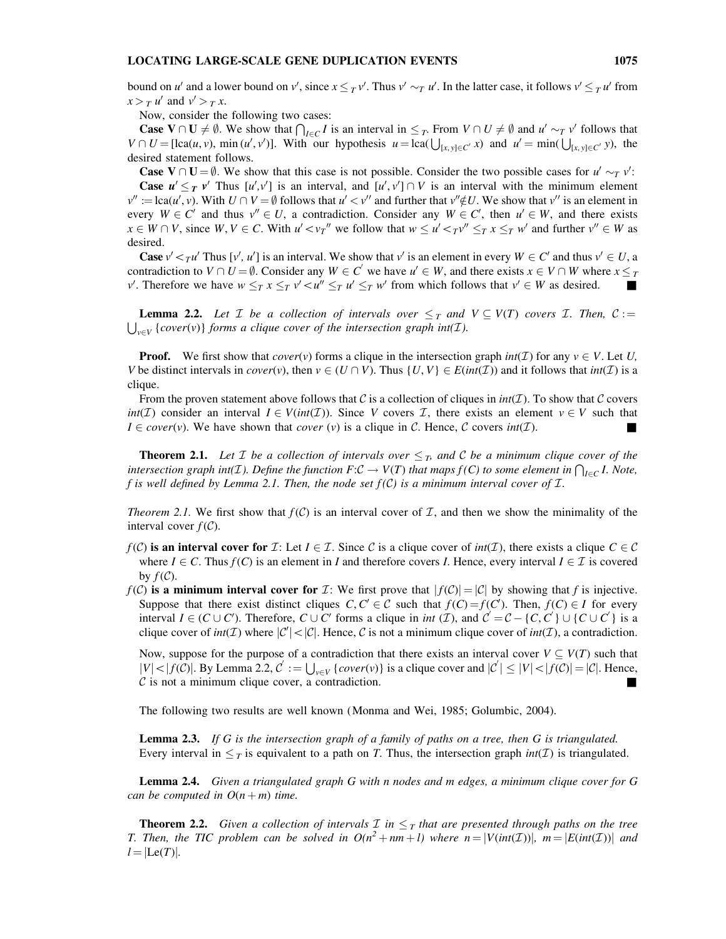bound on u' and a lower bound on v', since  $x \leq_T v'$ . Thus  $v' \sim_T u'$ . In the latter case, it follows  $v' \leq_T u'$  from  $x > T u'$  and  $v' > T x$ .

Now, consider the following two cases:

**Case V**  $\cap$  **U**  $\neq$   $\emptyset$ . We show that  $\bigcap_{I \in C} I$  is an interval in  $\leq_T$ . From  $V \cap U \neq \emptyset$  and  $u' \sim_T v'$  follows that  $V \cap U = [\text{lca}(u, v), \min(u', v')].$  With our hypothesis  $u = \text{lca}(\bigcup_{[x, y] \in C'} x)$  and  $u' = \min(\bigcup_{[x, y] \in C'} y)$ , the desired statement follows.

**Case V**  $\cap$  **U** =  $\emptyset$ . We show that this case is not possible. Consider the two possible cases for  $u' \sim_T v'$ : **Case**  $u' \leq_T v'$  Thus  $[u', v']$  is an interval, and  $[u', v'] \cap V$  is an interval with the minimum element  $v'' := \text{lca}(u', v)$ . With  $U \cap V = \emptyset$  follows that  $u' < v''$  and further that  $v'' \notin U$ . We show that  $v''$  is an element in every  $W \in C'$  and thus  $v'' \in U$ , a contradiction. Consider any  $W \in C'$ , then  $u' \in W$ , and there exists  $x \in W \cap V$ , since  $W, V \in C$ . With  $u' < v_T''$  we follow that  $w \le u' < T v'' \le T x \le T w'$  and further  $v'' \in W$  as desired.

**Case**  $v' <_\tau u'$  Thus  $[v', u']$  is an interval. We show that v' is an element in every  $W \in C'$  and thus  $v' \in U$ , a contradiction to  $V \cap U = \emptyset$ . Consider any  $W \in C'$  we have  $u' \in W$ , and there exists  $x \in V \cap W$  where  $x \leq T$ v'. Therefore we have  $w \leq_T x \leq_T v' \leq u'' \leq_T u' \leq_T w'$  from which follows that  $v' \in W$  as desired.

**Lemma 2.2.** Let *T* be a collection of intervals over  $\leq_T$  and  $V \subseteq V(T)$  covers *T*. Then,  $C :=$  $\bigcup_{v\in V}$  {cover(v)} forms a clique cover of the intersection graph int(*I*).

**Proof.** We first show that cover(v) forms a clique in the intersection graph  $int(\mathcal{I})$  for any  $v \in V$ . Let U, V be distinct intervals in  $cover(v)$ , then  $v \in (U \cap V)$ . Thus  $\{U, V\} \in E(int(\mathcal{I}))$  and it follows that  $int(\mathcal{I})$  is a clique.

From the proven statement above follows that C is a collection of cliques in  $int(\mathcal{I})$ . To show that C covers int(I) consider an interval  $I \in V(int(\mathcal{I}))$ . Since V covers I, there exists an element  $v \in V$  such that  $I \in cover(v)$ . We have shown that *cover* (v) is a clique in C. Hence, C covers *int*(*I*).

**Theorem 2.1.** Let *T* be a collection of intervals over  $\leq_T$ , and *C* be a minimum clique cover of the intersection graph int(I). Define the function  $F:C \to V(T)$  that maps  $f(C)$  to some element in  $\bigcap_{l \in C} I$ . Note, f is well defined by Lemma 2.1. Then, the node set  $f(C)$  is a minimum interval cover of  $\mathcal I$ .

*Theorem 2.1.* We first show that  $f(C)$  is an interval cover of  $\mathcal I$ , and then we show the minimality of the interval cover  $f(\mathcal{C})$ .

- $f(C)$  is an interval cover for  $\mathcal I:$  Let  $I \in \mathcal I$ . Since C is a clique cover of  $int(\mathcal I)$ , there exists a clique  $C \in \mathcal C$ where  $I \in \mathcal{C}$ . Thus  $f(\mathcal{C})$  is an element in I and therefore covers I. Hence, every interval  $I \in \mathcal{I}$  is covered by  $f(C)$ .
- $f(\mathcal{C})$  is a minimum interval cover for  $\mathcal{I}$ : We first prove that  $|f(\mathcal{C})| = |\mathcal{C}|$  by showing that f is injective. Suppose that there exist distinct cliques  $C, C' \in \mathcal{C}$  such that  $f(C) = f(C')$ . Then,  $f(C) \in I$  for every interval  $I \in (C \cup C')$ . Therefore,  $C \cup C'$  forms a clique in *int*  $(I)$ , and  $C' = C - \{C, C'\} \cup \{C \cup C'\}$  is a clique cover of  $int(\mathcal{I})$  where  $|\mathcal{C}'| < |\mathcal{C}|$ . Hence,  $\mathcal C$  is not a minimum clique cover of  $int(\mathcal{I})$ , a contradiction.

Now, suppose for the purpose of a contradiction that there exists an interval cover  $V \subseteq V(T)$  such that  $|V| < |f(C)|$ . By Lemma 2.2,  $C' := \bigcup_{v \in V} \{cover(v)\}$  is a clique cover and  $|C'| \le |V| < |f(C)| = |C|$ . Hence,  $C$  is not a minimum clique cover, a contradiction.

The following two results are well known (Monma and Wei, 1985; Golumbic, 2004).

**Lemma 2.3.** If G is the intersection graph of a family of paths on a tree, then G is triangulated. Every interval in  $\leq_T$  is equivalent to a path on T. Thus, the intersection graph  $int(\mathcal{I})$  is triangulated.

**Lemma 2.4.** Given a triangulated graph G with n nodes and m edges, a minimum clique cover for G can be computed in  $O(n+m)$  time.

**Theorem 2.2.** Given a collection of intervals  $\mathcal{I}$  in  $\leq_{\mathcal{I}}$  that are presented through paths on the tree T. Then, the TIC problem can be solved in  $O(n^2 + nm + l)$  where  $n = |V(int(\mathcal{I}))|$ ,  $m = |E(int(\mathcal{I}))|$  and  $l = | \text{Le}(T) |.$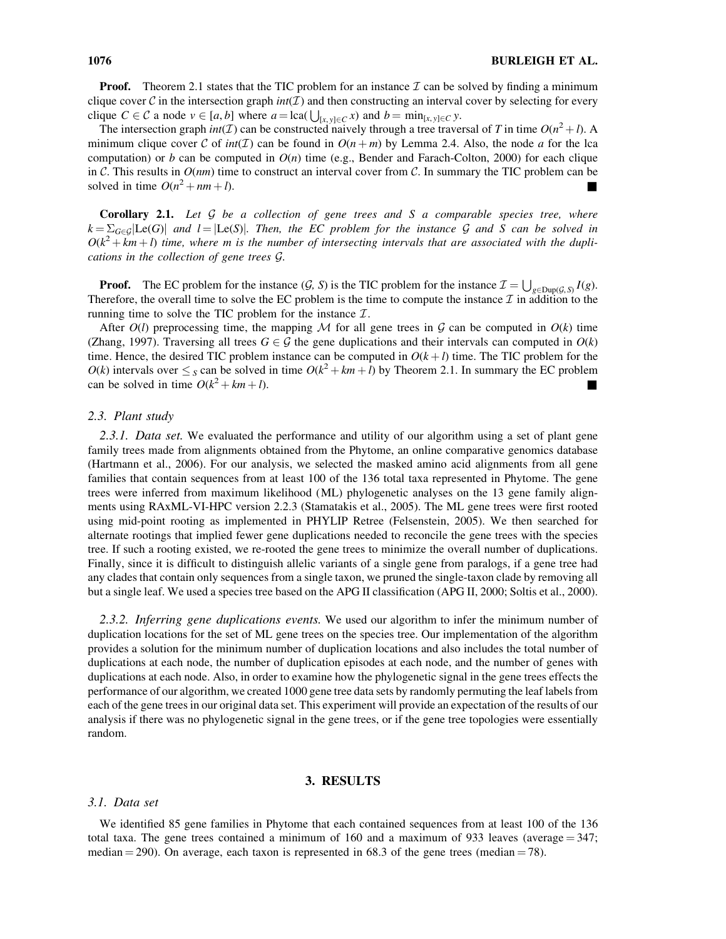**Proof.** Theorem 2.1 states that the TIC problem for an instance  $\mathcal{I}$  can be solved by finding a minimum clique cover C in the intersection graph  $int(\mathcal{I})$  and then constructing an interval cover by selecting for every clique C  $\in \mathcal{C}$  a node  $v \in [a, b]$  where  $a = \text{lca}(\bigcup_{[x, y] \in C} x)$  and  $b = \min_{[x, y] \in C} y$ .

The intersection graph  $int(\mathcal{I})$  can be constructed naively through a tree traversal of T in time  $O(n^2 + l)$ . A minimum clique cover C of  $int(\mathcal{I})$  can be found in  $O(n+m)$  by Lemma 2.4. Also, the node a for the lca computation) or b can be computed in  $O(n)$  time (e.g., Bender and Farach-Colton, 2000) for each clique in C. This results in  $O(nm)$  time to construct an interval cover from C. In summary the TIC problem can be solved in time  $O(n^2 + nm + l)$ .

**Corollary 2.1.** Let  $G$  be a collection of gene trees and  $S$  a comparable species tree, where  $k = \sum_{G \in \mathcal{G}} | \text{Le}(G) |$  and  $l = | \text{Le}(S) |$ . Then, the EC problem for the instance G and S can be solved in  $O(k^2 + km + l)$  time, where m is the number of intersecting intervals that are associated with the duplications in the collection of gene trees G.

**Proof.** The EC problem for the instance  $(G, S)$  is the TIC problem for the instance  $\mathcal{I} = \bigcup_{g \in \text{Dup}(G, S)} I(g)$ . Therefore, the overall time to solve the EC problem is the time to compute the instance  $\mathcal I$  in addition to the running time to solve the TIC problem for the instance  $\mathcal{I}$ .

After  $O(l)$  preprocessing time, the mapping M for all gene trees in G can be computed in  $O(k)$  time (Zhang, 1997). Traversing all trees  $G \in \mathcal{G}$  the gene duplications and their intervals can computed in  $O(k)$ time. Hence, the desired TIC problem instance can be computed in  $O(k+l)$  time. The TIC problem for the  $O(k)$  intervals over  $\leq_S$  can be solved in time  $O(k^2 + km + l)$  by Theorem 2.1. In summary the EC problem can be solved in time  $O(k^2 + km + l)$ .

## 2.3. Plant study

2.3.1. Data set. We evaluated the performance and utility of our algorithm using a set of plant gene family trees made from alignments obtained from the Phytome, an online comparative genomics database (Hartmann et al., 2006). For our analysis, we selected the masked amino acid alignments from all gene families that contain sequences from at least 100 of the 136 total taxa represented in Phytome. The gene trees were inferred from maximum likelihood (ML) phylogenetic analyses on the 13 gene family alignments using RAxML-VI-HPC version 2.2.3 (Stamatakis et al., 2005). The ML gene trees were first rooted using mid-point rooting as implemented in PHYLIP Retree (Felsenstein, 2005). We then searched for alternate rootings that implied fewer gene duplications needed to reconcile the gene trees with the species tree. If such a rooting existed, we re-rooted the gene trees to minimize the overall number of duplications. Finally, since it is difficult to distinguish allelic variants of a single gene from paralogs, if a gene tree had any clades that contain only sequences from a single taxon, we pruned the single-taxon clade by removing all but a single leaf. We used a species tree based on the APG II classification (APG II, 2000; Soltis et al., 2000).

2.3.2. Inferring gene duplications events. We used our algorithm to infer the minimum number of duplication locations for the set of ML gene trees on the species tree. Our implementation of the algorithm provides a solution for the minimum number of duplication locations and also includes the total number of duplications at each node, the number of duplication episodes at each node, and the number of genes with duplications at each node. Also, in order to examine how the phylogenetic signal in the gene trees effects the performance of our algorithm, we created 1000 gene tree data sets by randomly permuting the leaf labels from each of the gene trees in our original data set. This experiment will provide an expectation of the results of our analysis if there was no phylogenetic signal in the gene trees, or if the gene tree topologies were essentially random.

## 3. RESULTS

#### 3.1. Data set

We identified 85 gene families in Phytome that each contained sequences from at least 100 of the 136 total taxa. The gene trees contained a minimum of 160 and a maximum of 933 leaves (average  $=$  347; median  $=$  290). On average, each taxon is represented in 68.3 of the gene trees (median  $=$  78).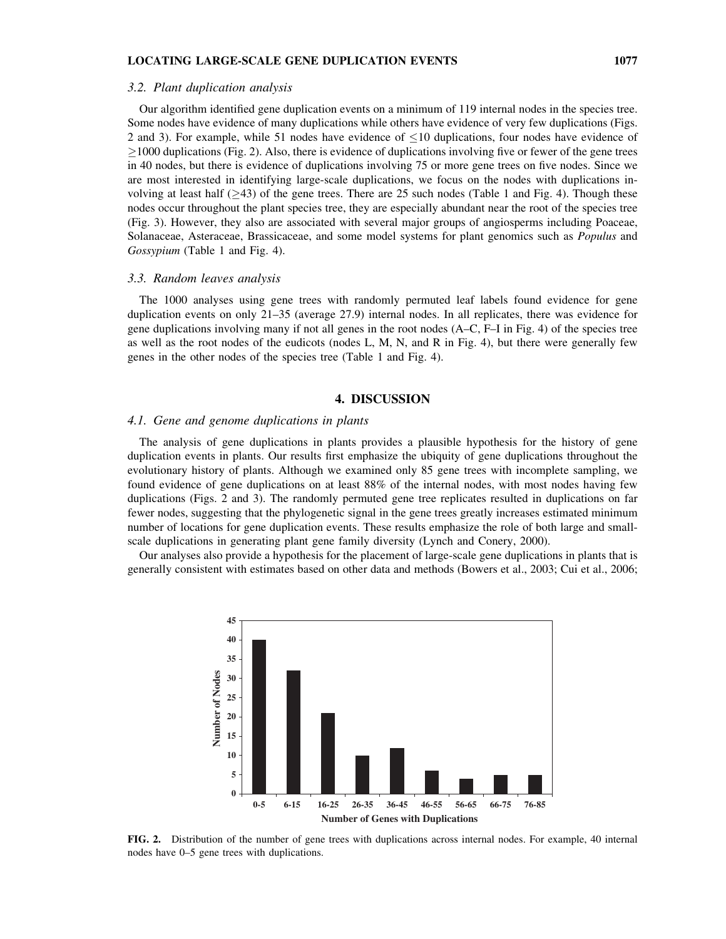#### 3.2. Plant duplication analysis

Our algorithm identified gene duplication events on a minimum of 119 internal nodes in the species tree. Some nodes have evidence of many duplications while others have evidence of very few duplications (Figs. 2 and 3). For example, while 51 nodes have evidence of  $\leq$ 10 duplications, four nodes have evidence of  $\geq$ 1000 duplications (Fig. 2). Also, there is evidence of duplications involving five or fewer of the gene trees in 40 nodes, but there is evidence of duplications involving 75 or more gene trees on five nodes. Since we are most interested in identifying large-scale duplications, we focus on the nodes with duplications involving at least half  $(\geq 43)$  of the gene trees. There are 25 such nodes (Table 1 and Fig. 4). Though these nodes occur throughout the plant species tree, they are especially abundant near the root of the species tree (Fig. 3). However, they also are associated with several major groups of angiosperms including Poaceae, Solanaceae, Asteraceae, Brassicaceae, and some model systems for plant genomics such as *Populus* and Gossypium (Table 1 and Fig. 4).

#### 3.3. Random leaves analysis

The 1000 analyses using gene trees with randomly permuted leaf labels found evidence for gene duplication events on only 21–35 (average 27.9) internal nodes. In all replicates, there was evidence for gene duplications involving many if not all genes in the root nodes (A–C, F–I in Fig. 4) of the species tree as well as the root nodes of the eudicots (nodes L, M, N, and R in Fig. 4), but there were generally few genes in the other nodes of the species tree (Table 1 and Fig. 4).

## 4. DISCUSSION

#### 4.1. Gene and genome duplications in plants

The analysis of gene duplications in plants provides a plausible hypothesis for the history of gene duplication events in plants. Our results first emphasize the ubiquity of gene duplications throughout the evolutionary history of plants. Although we examined only 85 gene trees with incomplete sampling, we found evidence of gene duplications on at least 88% of the internal nodes, with most nodes having few duplications (Figs. 2 and 3). The randomly permuted gene tree replicates resulted in duplications on far fewer nodes, suggesting that the phylogenetic signal in the gene trees greatly increases estimated minimum number of locations for gene duplication events. These results emphasize the role of both large and smallscale duplications in generating plant gene family diversity (Lynch and Conery, 2000).

Our analyses also provide a hypothesis for the placement of large-scale gene duplications in plants that is generally consistent with estimates based on other data and methods (Bowers et al., 2003; Cui et al., 2006;



FIG. 2. Distribution of the number of gene trees with duplications across internal nodes. For example, 40 internal nodes have 0–5 gene trees with duplications.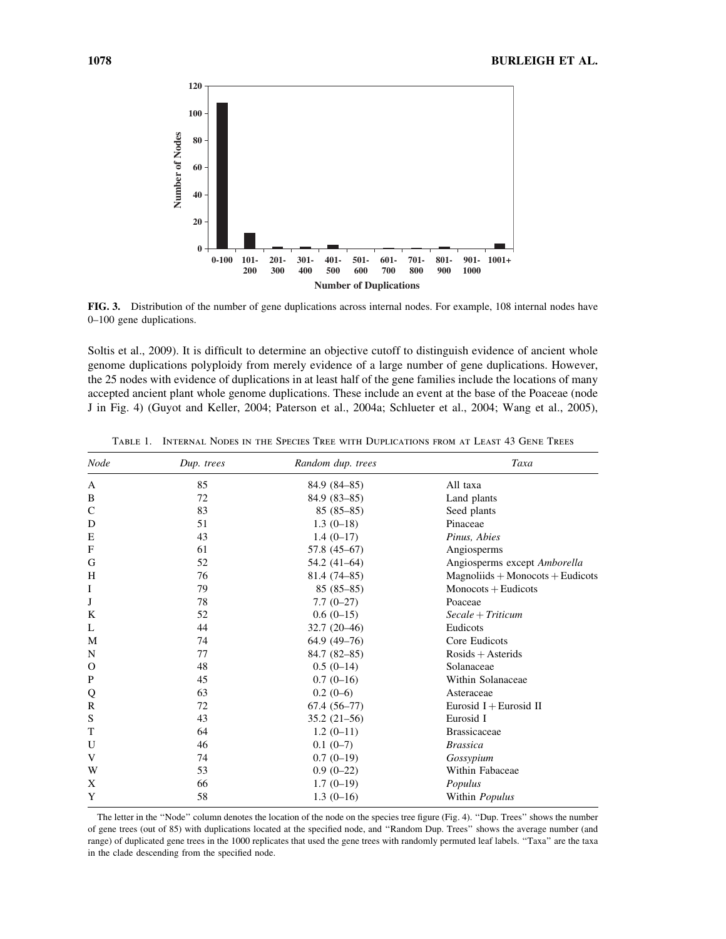

FIG. 3. Distribution of the number of gene duplications across internal nodes. For example, 108 internal nodes have 0–100 gene duplications.

Soltis et al., 2009). It is difficult to determine an objective cutoff to distinguish evidence of ancient whole genome duplications polyploidy from merely evidence of a large number of gene duplications. However, the 25 nodes with evidence of duplications in at least half of the gene families include the locations of many accepted ancient plant whole genome duplications. These include an event at the base of the Poaceae (node J in Fig. 4) (Guyot and Keller, 2004; Paterson et al., 2004a; Schlueter et al., 2004; Wang et al., 2005),

| <b>Node</b>   | Dup. trees | Random dup. trees | Taxa                                  |
|---------------|------------|-------------------|---------------------------------------|
| A             | 85         | 84.9 (84-85)      | All taxa                              |
| B             | 72         | $84.9(83 - 85)$   | Land plants                           |
| C             | 83         | $85(85-85)$       | Seed plants                           |
| D             | 51         | $1.3(0-18)$       | Pinaceae                              |
| E             | 43         | $1.4(0-17)$       | Pinus, Abies                          |
| F             | 61         | 57.8 (45-67)      | Angiosperms                           |
| G             | 52         | 54.2 (41-64)      | Angiosperms except Amborella          |
| H             | 76         | $81.4(74 - 85)$   | $Magnoliids + Monocots + Eudicots$    |
| I             | 79         | $85(85-85)$       | $Monocots + Eudicots$                 |
| J             | 78         | $7.7(0-27)$       | Poaceae                               |
| K             | 52         | $0.6(0-15)$       | $\textit{Secale} + \textit{Triticum}$ |
| L             | 44         | $32.7(20-46)$     | Eudicots                              |
| M             | 74         | $64.9(49-76)$     | Core Eudicots                         |
| N             | 77         | $84.7(82 - 85)$   | $Rosids + Asterids$                   |
| $\mathcal{O}$ | 48         | $0.5(0-14)$       | Solanaceae                            |
| $\mathbf{P}$  | 45         | $0.7(0-16)$       | Within Solanaceae                     |
| Q             | 63         | $0.2(0-6)$        | Asteraceae                            |
| R             | 72         | $67.4(56-77)$     | Eurosid $I + Eurosid II$              |
| S             | 43         | $35.2(21-56)$     | Eurosid I                             |
| T             | 64         | $1.2(0-11)$       | <b>Brassicaceae</b>                   |
| U             | 46         | $0.1(0-7)$        | <b>Brassica</b>                       |
| V             | 74         | $0.7(0-19)$       | Gossypium                             |
| W             | 53         | $0.9(0-22)$       | Within Fabaceae                       |
| X             | 66         | $1.7(0-19)$       | Populus                               |
| Y             | 58         | $1.3(0-16)$       | Within Populus                        |

Table 1. Internal Nodes in the Species Tree with Duplications from at Least 43 Gene Trees

The letter in the ''Node'' column denotes the location of the node on the species tree figure (Fig. 4). ''Dup. Trees'' shows the number of gene trees (out of 85) with duplications located at the specified node, and ''Random Dup. Trees'' shows the average number (and range) of duplicated gene trees in the 1000 replicates that used the gene trees with randomly permuted leaf labels. ''Taxa'' are the taxa in the clade descending from the specified node.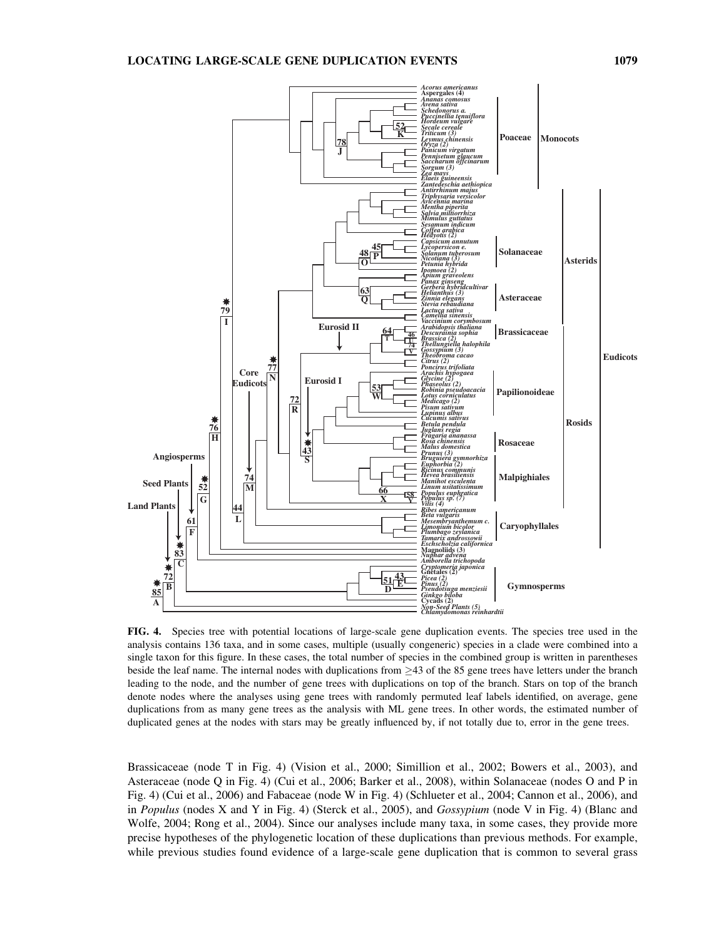

FIG. 4. Species tree with potential locations of large-scale gene duplication events. The species tree used in the analysis contains 136 taxa, and in some cases, multiple (usually congeneric) species in a clade were combined into a single taxon for this figure. In these cases, the total number of species in the combined group is written in parentheses beside the leaf name. The internal nodes with duplications from  $\geq$ 43 of the 85 gene trees have letters under the branch leading to the node, and the number of gene trees with duplications on top of the branch. Stars on top of the branch denote nodes where the analyses using gene trees with randomly permuted leaf labels identified, on average, gene duplications from as many gene trees as the analysis with ML gene trees. In other words, the estimated number of duplicated genes at the nodes with stars may be greatly influenced by, if not totally due to, error in the gene trees.

Brassicaceae (node T in Fig. 4) (Vision et al., 2000; Simillion et al., 2002; Bowers et al., 2003), and Asteraceae (node Q in Fig. 4) (Cui et al., 2006; Barker et al., 2008), within Solanaceae (nodes O and P in Fig. 4) (Cui et al., 2006) and Fabaceae (node W in Fig. 4) (Schlueter et al., 2004; Cannon et al., 2006), and in Populus (nodes X and Y in Fig. 4) (Sterck et al., 2005), and Gossypium (node V in Fig. 4) (Blanc and Wolfe, 2004; Rong et al., 2004). Since our analyses include many taxa, in some cases, they provide more precise hypotheses of the phylogenetic location of these duplications than previous methods. For example, while previous studies found evidence of a large-scale gene duplication that is common to several grass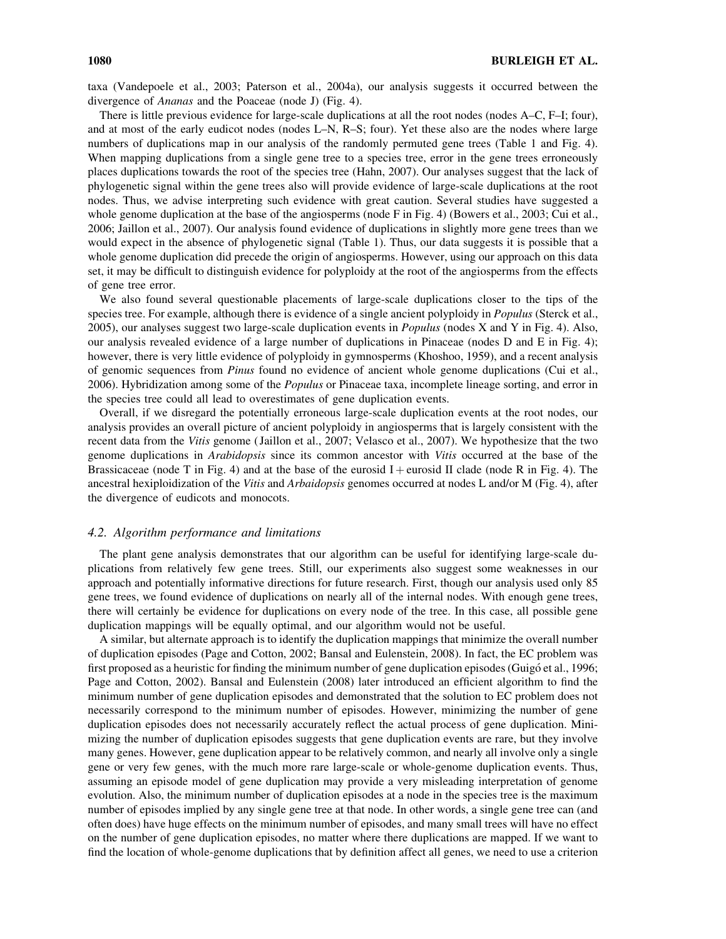taxa (Vandepoele et al., 2003; Paterson et al., 2004a), our analysis suggests it occurred between the divergence of Ananas and the Poaceae (node J) (Fig. 4).

There is little previous evidence for large-scale duplications at all the root nodes (nodes A–C, F–I; four), and at most of the early eudicot nodes (nodes L–N, R–S; four). Yet these also are the nodes where large numbers of duplications map in our analysis of the randomly permuted gene trees (Table 1 and Fig. 4). When mapping duplications from a single gene tree to a species tree, error in the gene trees erroneously places duplications towards the root of the species tree (Hahn, 2007). Our analyses suggest that the lack of phylogenetic signal within the gene trees also will provide evidence of large-scale duplications at the root nodes. Thus, we advise interpreting such evidence with great caution. Several studies have suggested a whole genome duplication at the base of the angiosperms (node F in Fig. 4) (Bowers et al., 2003; Cui et al., 2006; Jaillon et al., 2007). Our analysis found evidence of duplications in slightly more gene trees than we would expect in the absence of phylogenetic signal (Table 1). Thus, our data suggests it is possible that a whole genome duplication did precede the origin of angiosperms. However, using our approach on this data set, it may be difficult to distinguish evidence for polyploidy at the root of the angiosperms from the effects of gene tree error.

We also found several questionable placements of large-scale duplications closer to the tips of the species tree. For example, although there is evidence of a single ancient polyploidy in *Populus* (Sterck et al., 2005), our analyses suggest two large-scale duplication events in *Populus* (nodes X and Y in Fig. 4). Also, our analysis revealed evidence of a large number of duplications in Pinaceae (nodes D and E in Fig. 4); however, there is very little evidence of polyploidy in gymnosperms (Khoshoo, 1959), and a recent analysis of genomic sequences from Pinus found no evidence of ancient whole genome duplications (Cui et al., 2006). Hybridization among some of the Populus or Pinaceae taxa, incomplete lineage sorting, and error in the species tree could all lead to overestimates of gene duplication events.

Overall, if we disregard the potentially erroneous large-scale duplication events at the root nodes, our analysis provides an overall picture of ancient polyploidy in angiosperms that is largely consistent with the recent data from the Vitis genome ( Jaillon et al., 2007; Velasco et al., 2007). We hypothesize that the two genome duplications in Arabidopsis since its common ancestor with Vitis occurred at the base of the Brassicaceae (node T in Fig. 4) and at the base of the eurosid I + eurosid II clade (node R in Fig. 4). The ancestral hexiploidization of the Vitis and Arbaidopsis genomes occurred at nodes L and/or M (Fig. 4), after the divergence of eudicots and monocots.

## 4.2. Algorithm performance and limitations

The plant gene analysis demonstrates that our algorithm can be useful for identifying large-scale duplications from relatively few gene trees. Still, our experiments also suggest some weaknesses in our approach and potentially informative directions for future research. First, though our analysis used only 85 gene trees, we found evidence of duplications on nearly all of the internal nodes. With enough gene trees, there will certainly be evidence for duplications on every node of the tree. In this case, all possible gene duplication mappings will be equally optimal, and our algorithm would not be useful.

A similar, but alternate approach is to identify the duplication mappings that minimize the overall number of duplication episodes (Page and Cotton, 2002; Bansal and Eulenstein, 2008). In fact, the EC problem was first proposed as a heuristic for finding the minimum number of gene duplication episodes (Guigó et al., 1996; Page and Cotton, 2002). Bansal and Eulenstein (2008) later introduced an efficient algorithm to find the minimum number of gene duplication episodes and demonstrated that the solution to EC problem does not necessarily correspond to the minimum number of episodes. However, minimizing the number of gene duplication episodes does not necessarily accurately reflect the actual process of gene duplication. Minimizing the number of duplication episodes suggests that gene duplication events are rare, but they involve many genes. However, gene duplication appear to be relatively common, and nearly all involve only a single gene or very few genes, with the much more rare large-scale or whole-genome duplication events. Thus, assuming an episode model of gene duplication may provide a very misleading interpretation of genome evolution. Also, the minimum number of duplication episodes at a node in the species tree is the maximum number of episodes implied by any single gene tree at that node. In other words, a single gene tree can (and often does) have huge effects on the minimum number of episodes, and many small trees will have no effect on the number of gene duplication episodes, no matter where there duplications are mapped. If we want to find the location of whole-genome duplications that by definition affect all genes, we need to use a criterion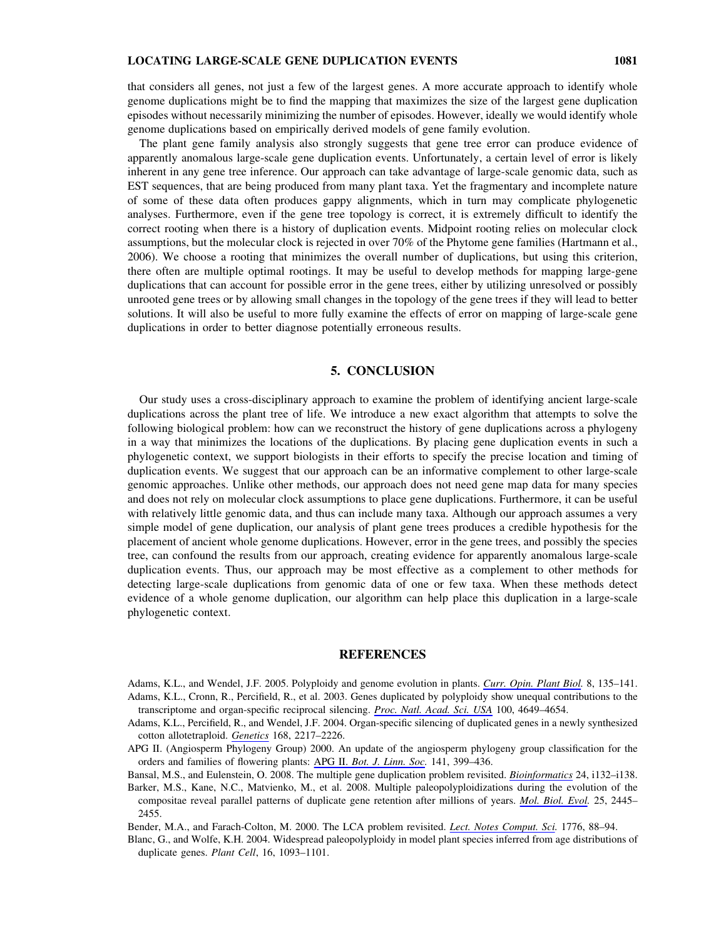that considers all genes, not just a few of the largest genes. A more accurate approach to identify whole genome duplications might be to find the mapping that maximizes the size of the largest gene duplication episodes without necessarily minimizing the number of episodes. However, ideally we would identify whole genome duplications based on empirically derived models of gene family evolution.

The plant gene family analysis also strongly suggests that gene tree error can produce evidence of apparently anomalous large-scale gene duplication events. Unfortunately, a certain level of error is likely inherent in any gene tree inference. Our approach can take advantage of large-scale genomic data, such as EST sequences, that are being produced from many plant taxa. Yet the fragmentary and incomplete nature of some of these data often produces gappy alignments, which in turn may complicate phylogenetic analyses. Furthermore, even if the gene tree topology is correct, it is extremely difficult to identify the correct rooting when there is a history of duplication events. Midpoint rooting relies on molecular clock assumptions, but the molecular clock is rejected in over 70% of the Phytome gene families (Hartmann et al., 2006). We choose a rooting that minimizes the overall number of duplications, but using this criterion, there often are multiple optimal rootings. It may be useful to develop methods for mapping large-gene duplications that can account for possible error in the gene trees, either by utilizing unresolved or possibly unrooted gene trees or by allowing small changes in the topology of the gene trees if they will lead to better solutions. It will also be useful to more fully examine the effects of error on mapping of large-scale gene duplications in order to better diagnose potentially erroneous results.

## 5. CONCLUSION

Our study uses a cross-disciplinary approach to examine the problem of identifying ancient large-scale duplications across the plant tree of life. We introduce a new exact algorithm that attempts to solve the following biological problem: how can we reconstruct the history of gene duplications across a phylogeny in a way that minimizes the locations of the duplications. By placing gene duplication events in such a phylogenetic context, we support biologists in their efforts to specify the precise location and timing of duplication events. We suggest that our approach can be an informative complement to other large-scale genomic approaches. Unlike other methods, our approach does not need gene map data for many species and does not rely on molecular clock assumptions to place gene duplications. Furthermore, it can be useful with relatively little genomic data, and thus can include many taxa. Although our approach assumes a very simple model of gene duplication, our analysis of plant gene trees produces a credible hypothesis for the placement of ancient whole genome duplications. However, error in the gene trees, and possibly the species tree, can confound the results from our approach, creating evidence for apparently anomalous large-scale duplication events. Thus, our approach may be most effective as a complement to other methods for detecting large-scale duplications from genomic data of one or few taxa. When these methods detect evidence of a whole genome duplication, our algorithm can help place this duplication in a large-scale phylogenetic context.

## **REFERENCES**

- Adams, K.L., and Wendel, J.F. 2005. Polyploidy and genome evolution in plants. Curr. Opin. Plant Biol. 8, 135–141. Adams, K.L., Cronn, R., Percifield, R., et al. 2003. Genes duplicated by polyploidy show unequal contributions to the transcriptome and organ-specific reciprocal silencing. Proc. Natl. Acad. Sci. USA 100, 4649–4654.
- Adams, K.L., Percifield, R., and Wendel, J.F. 2004. Organ-specific silencing of duplicated genes in a newly synthesized cotton allotetraploid. Genetics 168, 2217–2226.
- APG II. (Angiosperm Phylogeny Group) 2000. An update of the angiosperm phylogeny group classification for the orders and families of flowering plants: APG II. Bot. J. Linn. Soc. 141, 399-436.
- Bansal, M.S., and Eulenstein, O. 2008. The multiple gene duplication problem revisited. Bioinformatics 24, i132–i138.
- Barker, M.S., Kane, N.C., Matvienko, M., et al. 2008. Multiple paleopolyploidizations during the evolution of the compositae reveal parallel patterns of duplicate gene retention after millions of years. Mol. Biol. Evol. 25, 2445– 2455.
- Bender, M.A., and Farach-Colton, M. 2000. The LCA problem revisited. Lect. Notes Comput. Sci. 1776, 88-94.
- Blanc, G., and Wolfe, K.H. 2004. Widespread paleopolyploidy in model plant species inferred from age distributions of duplicate genes. Plant Cell, 16, 1093-1101.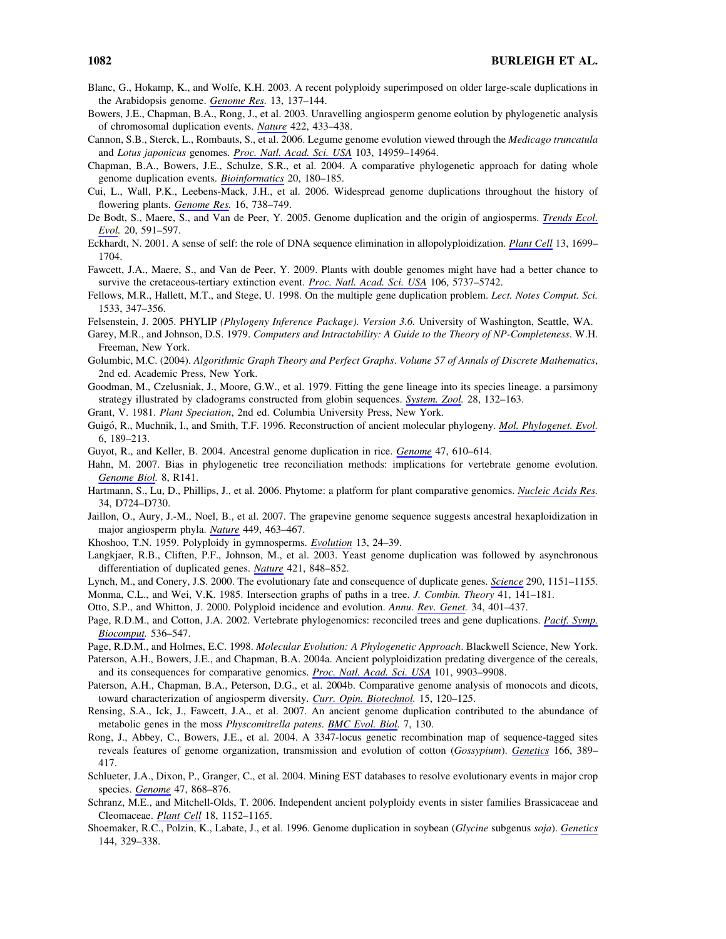- Blanc, G., Hokamp, K., and Wolfe, K.H. 2003. A recent polyploidy superimposed on older large-scale duplications in the Arabidopsis genome. Genome Res. 13, 137–144.
- Bowers, J.E., Chapman, B.A., Rong, J., et al. 2003. Unravelling angiosperm genome eolution by phylogenetic analysis of chromosomal duplication events. Nature 422, 433–438.
- Cannon, S.B., Sterck, L., Rombauts, S., et al. 2006. Legume genome evolution viewed through the Medicago truncatula and Lotus japonicus genomes. Proc. Natl. Acad. Sci. USA 103, 14959–14964.
- Chapman, B.A., Bowers, J.E., Schulze, S.R., et al. 2004. A comparative phylogenetic approach for dating whole genome duplication events. Bioinformatics 20, 180–185.
- Cui, L., Wall, P.K., Leebens-Mack, J.H., et al. 2006. Widespread genome duplications throughout the history of flowering plants. Genome Res. 16, 738-749.
- De Bodt, S., Maere, S., and Van de Peer, Y. 2005. Genome duplication and the origin of angiosperms. Trends Ecol. Evol. 20, 591–597.
- Eckhardt, N. 2001. A sense of self: the role of DNA sequence elimination in allopolyploidization. Plant Cell 13, 1699– 1704.
- Fawcett, J.A., Maere, S., and Van de Peer, Y. 2009. Plants with double genomes might have had a better chance to survive the cretaceous-tertiary extinction event. *Proc. Natl. Acad. Sci. USA* 106, 5737-5742.
- Fellows, M.R., Hallett, M.T., and Stege, U. 1998. On the multiple gene duplication problem. Lect. Notes Comput. Sci. 1533, 347–356.
- Felsenstein, J. 2005. PHYLIP (Phylogeny Inference Package). Version 3.6. University of Washington, Seattle, WA.
- Garey, M.R., and Johnson, D.S. 1979. Computers and Intractability: A Guide to the Theory of NP-Completeness. W.H. Freeman, New York.
- Golumbic, M.C. (2004). Algorithmic Graph Theory and Perfect Graphs. Volume 57 of Annals of Discrete Mathematics, 2nd ed. Academic Press, New York.
- Goodman, M., Czelusniak, J., Moore, G.W., et al. 1979. Fitting the gene lineage into its species lineage. a parsimony strategy illustrated by cladograms constructed from globin sequences. System. Zool. 28, 132-163.
- Grant, V. 1981. Plant Speciation, 2nd ed. Columbia University Press, New York.
- Guigó, R., Muchnik, I., and Smith, T.F. 1996. Reconstruction of ancient molecular phylogeny. Mol. Phylogenet. Evol. 6, 189–213.
- Guyot, R., and Keller, B. 2004. Ancestral genome duplication in rice. *Genome* 47, 610–614.
- Hahn, M. 2007. Bias in phylogenetic tree reconciliation methods: implications for vertebrate genome evolution. Genome Biol. 8, R141.
- Hartmann, S., Lu, D., Phillips, J., et al. 2006. Phytome: a platform for plant comparative genomics. Nucleic Acids Res. 34, D724–D730.
- Jaillon, O., Aury, J.-M., Noel, B., et al. 2007. The grapevine genome sequence suggests ancestral hexaploidization in major angiosperm phyla. Nature 449, 463–467.
- Khoshoo, T.N. 1959. Polyploidy in gymnosperms. Evolution 13, 24–39.
- Langkjaer, R.B., Cliften, P.F., Johnson, M., et al. 2003. Yeast genome duplication was followed by asynchronous differentiation of duplicated genes. Nature 421, 848–852.
- Lynch, M., and Conery, J.S. 2000. The evolutionary fate and consequence of duplicate genes. Science 290, 1151–1155.
- Monma, C.L., and Wei, V.K. 1985. Intersection graphs of paths in a tree. J. Combin. Theory 41, 141–181.
- Otto, S.P., and Whitton, J. 2000. Polyploid incidence and evolution. Annu. Rev. Genet. 34, 401–437.
- Page, R.D.M., and Cotton, J.A. 2002. Vertebrate phylogenomics: reconciled trees and gene duplications. Pacif. Symp. Biocomput. 536–547.
- Page, R.D.M., and Holmes, E.C. 1998. Molecular Evolution: A Phylogenetic Approach. Blackwell Science, New York.
- Paterson, A.H., Bowers, J.E., and Chapman, B.A. 2004a. Ancient polyploidization predating divergence of the cereals, and its consequences for comparative genomics. Proc. Natl. Acad. Sci. USA 101, 9903-9908.
- Paterson, A.H., Chapman, B.A., Peterson, D.G., et al. 2004b. Comparative genome analysis of monocots and dicots, toward characterization of angiosperm diversity. Curr. Opin. Biotechnol. 15, 120–125.
- Rensing, S.A., Ick, J., Fawcett, J.A., et al. 2007. An ancient genome duplication contributed to the abundance of metabolic genes in the moss *Physcomitrella patens*. **BMC** Evol. Biol. 7, 130.
- Rong, J., Abbey, C., Bowers, J.E., et al. 2004. A 3347-locus genetic recombination map of sequence-tagged sites reveals features of genome organization, transmission and evolution of cotton (Gossypium). Genetics 166, 389– 417.
- Schlueter, J.A., Dixon, P., Granger, C., et al. 2004. Mining EST databases to resolve evolutionary events in major crop species. Genome 47, 868-876.
- Schranz, M.E., and Mitchell-Olds, T. 2006. Independent ancient polyploidy events in sister families Brassicaceae and Cleomaceae. Plant Cell 18, 1152–1165.
- Shoemaker, R.C., Polzin, K., Labate, J., et al. 1996. Genome duplication in soybean (Glycine subgenus soja). Genetics 144, 329–338.